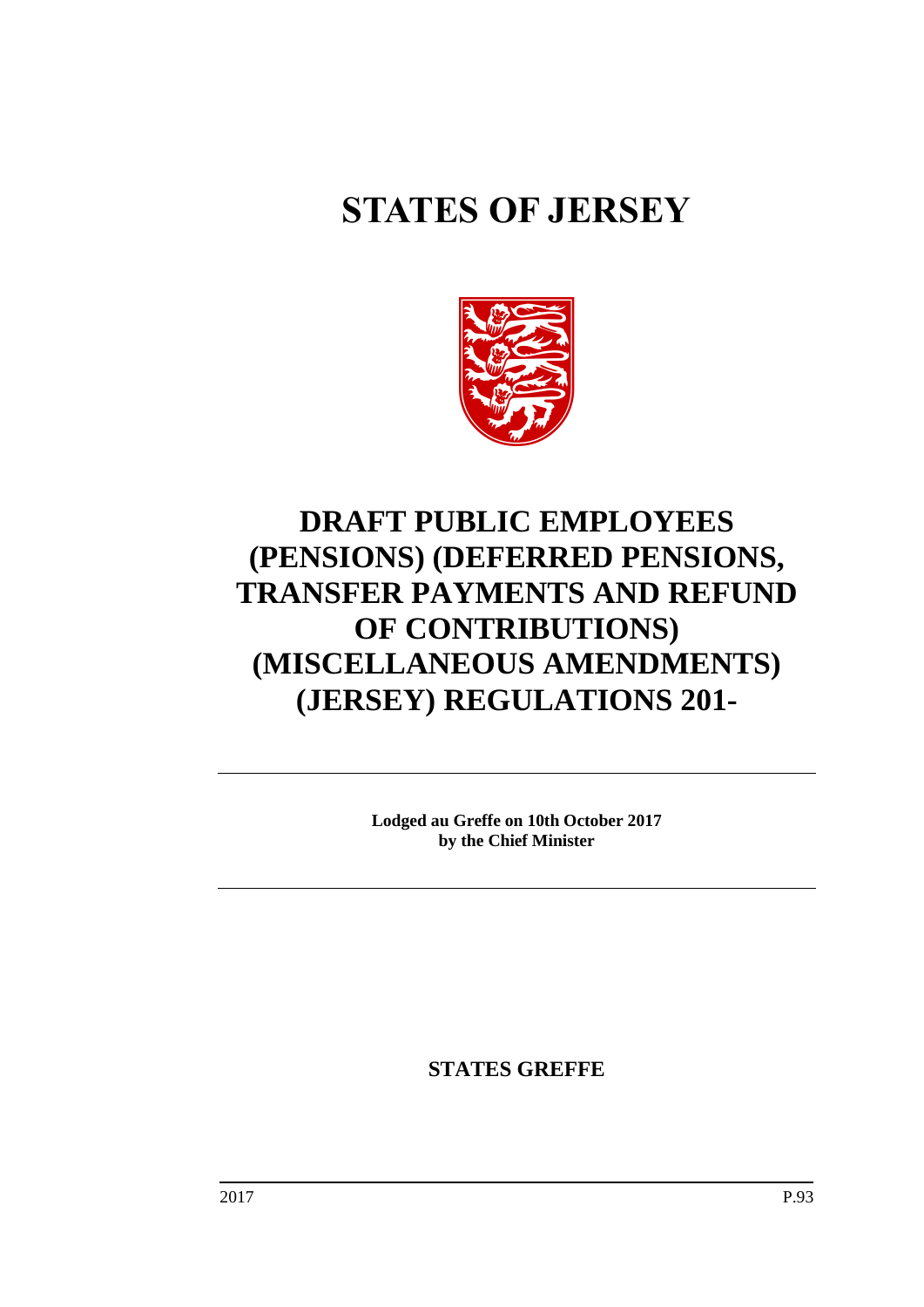# **STATES OF JERSEY**



# **DRAFT PUBLIC EMPLOYEES (PENSIONS) (DEFERRED PENSIONS, TRANSFER PAYMENTS AND REFUND OF CONTRIBUTIONS) (MISCELLANEOUS AMENDMENTS) (JERSEY) REGULATIONS 201-**

**Lodged au Greffe on 10th October 2017 by the Chief Minister**

**STATES GREFFE**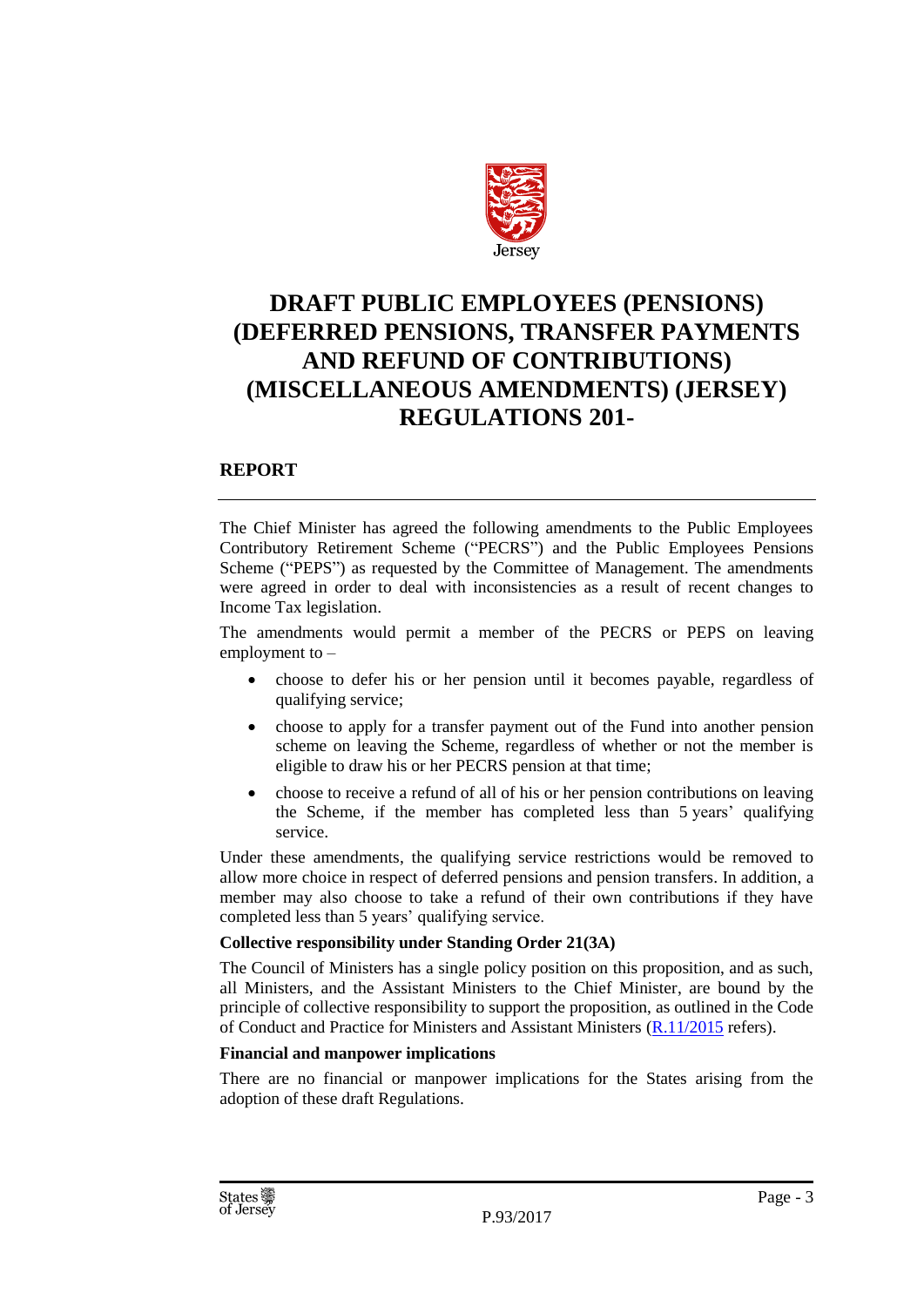

## **DRAFT PUBLIC EMPLOYEES (PENSIONS) (DEFERRED PENSIONS, TRANSFER PAYMENTS AND REFUND OF CONTRIBUTIONS) (MISCELLANEOUS AMENDMENTS) (JERSEY) REGULATIONS 201-**

## **REPORT**

The Chief Minister has agreed the following amendments to the Public Employees Contributory Retirement Scheme ("PECRS") and the Public Employees Pensions Scheme ("PEPS") as requested by the Committee of Management. The amendments were agreed in order to deal with inconsistencies as a result of recent changes to Income Tax legislation.

The amendments would permit a member of the PECRS or PEPS on leaving employment to –

- choose to defer his or her pension until it becomes payable, regardless of qualifying service;
- choose to apply for a transfer payment out of the Fund into another pension scheme on leaving the Scheme, regardless of whether or not the member is eligible to draw his or her PECRS pension at that time;
- choose to receive a refund of all of his or her pension contributions on leaving the Scheme, if the member has completed less than 5 years' qualifying service.

Under these amendments, the qualifying service restrictions would be removed to allow more choice in respect of deferred pensions and pension transfers. In addition, a member may also choose to take a refund of their own contributions if they have completed less than 5 years' qualifying service.

## **Collective responsibility under Standing Order 21(3A)**

The Council of Ministers has a single policy position on this proposition, and as such, all Ministers, and the Assistant Ministers to the Chief Minister, are bound by the principle of collective responsibility to support the proposition, as outlined in the Code of Conduct and Practice for Ministers and Assistant Ministers [\(R.11/2015](http://www.statesassembly.gov.je/AssemblyReports/2015/R.11-2015.pdf) refers).

#### **Financial and manpower implications**

There are no financial or manpower implications for the States arising from the adoption of these draft Regulations.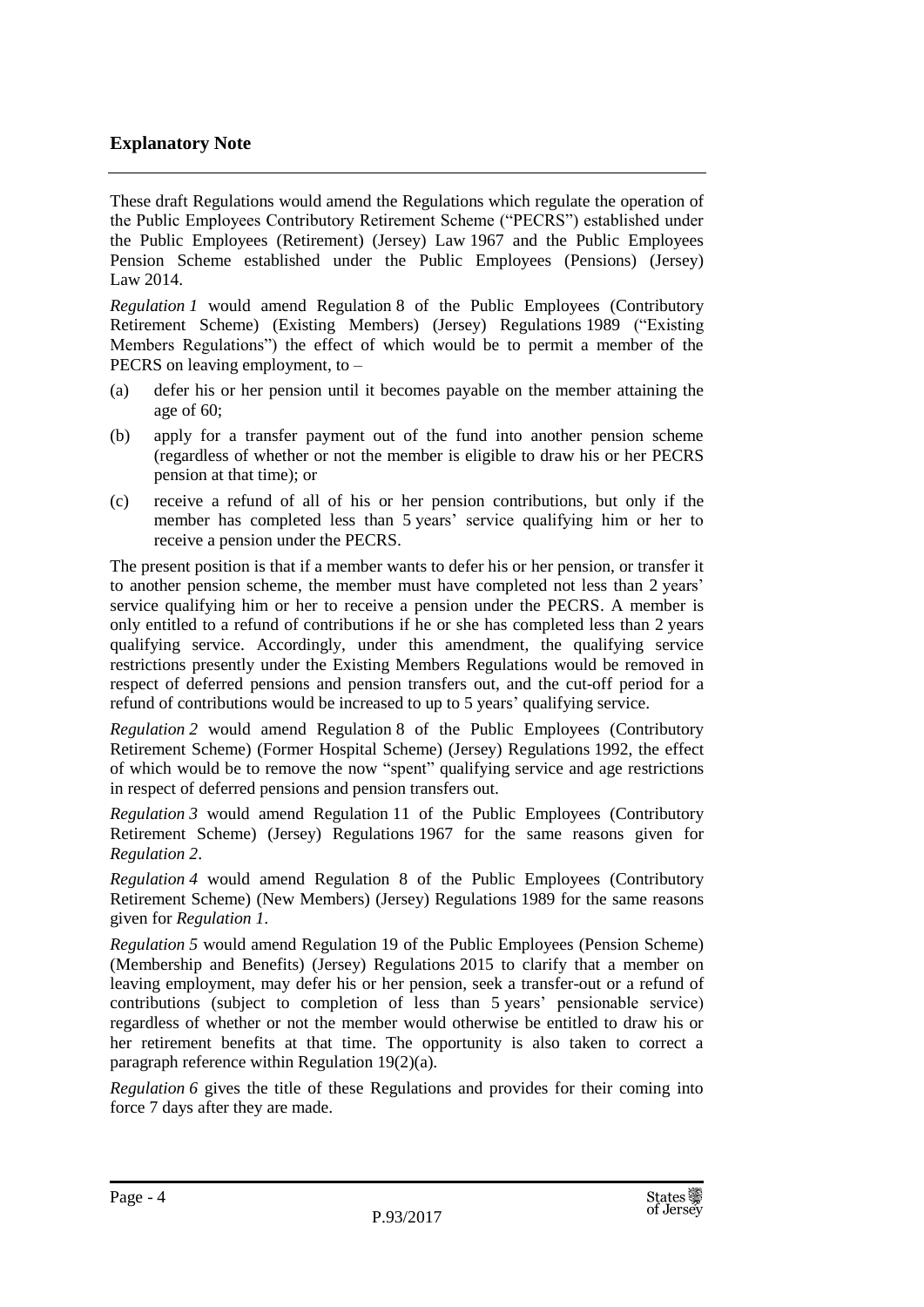## **Explanatory Note**

These draft Regulations would amend the Regulations which regulate the operation of the Public Employees Contributory Retirement Scheme ("PECRS") established under the Public Employees (Retirement) (Jersey) Law 1967 and the Public Employees Pension Scheme established under the Public Employees (Pensions) (Jersey) Law 2014.

*Regulation 1* would amend Regulation 8 of the Public Employees (Contributory Retirement Scheme) (Existing Members) (Jersey) Regulations 1989 ("Existing Members Regulations") the effect of which would be to permit a member of the PECRS on leaving employment, to –

- (a) defer his or her pension until it becomes payable on the member attaining the age of 60;
- (b) apply for a transfer payment out of the fund into another pension scheme (regardless of whether or not the member is eligible to draw his or her PECRS pension at that time); or
- (c) receive a refund of all of his or her pension contributions, but only if the member has completed less than 5 years' service qualifying him or her to receive a pension under the PECRS.

The present position is that if a member wants to defer his or her pension, or transfer it to another pension scheme, the member must have completed not less than 2 years' service qualifying him or her to receive a pension under the PECRS. A member is only entitled to a refund of contributions if he or she has completed less than 2 years qualifying service. Accordingly, under this amendment, the qualifying service restrictions presently under the Existing Members Regulations would be removed in respect of deferred pensions and pension transfers out, and the cut-off period for a refund of contributions would be increased to up to 5 years' qualifying service.

*Regulation 2* would amend Regulation 8 of the Public Employees (Contributory Retirement Scheme) (Former Hospital Scheme) (Jersey) Regulations 1992, the effect of which would be to remove the now "spent" qualifying service and age restrictions in respect of deferred pensions and pension transfers out.

*Regulation 3* would amend Regulation 11 of the Public Employees (Contributory Retirement Scheme) (Jersey) Regulations 1967 for the same reasons given for *Regulation 2*.

*Regulation 4* would amend Regulation 8 of the Public Employees (Contributory Retirement Scheme) (New Members) (Jersey) Regulations 1989 for the same reasons given for *Regulation 1*.

*Regulation 5* would amend Regulation 19 of the Public Employees (Pension Scheme) (Membership and Benefits) (Jersey) Regulations 2015 to clarify that a member on leaving employment, may defer his or her pension, seek a transfer-out or a refund of contributions (subject to completion of less than 5 years' pensionable service) regardless of whether or not the member would otherwise be entitled to draw his or her retirement benefits at that time. The opportunity is also taken to correct a paragraph reference within Regulation 19(2)(a).

*Regulation 6* gives the title of these Regulations and provides for their coming into force 7 days after they are made.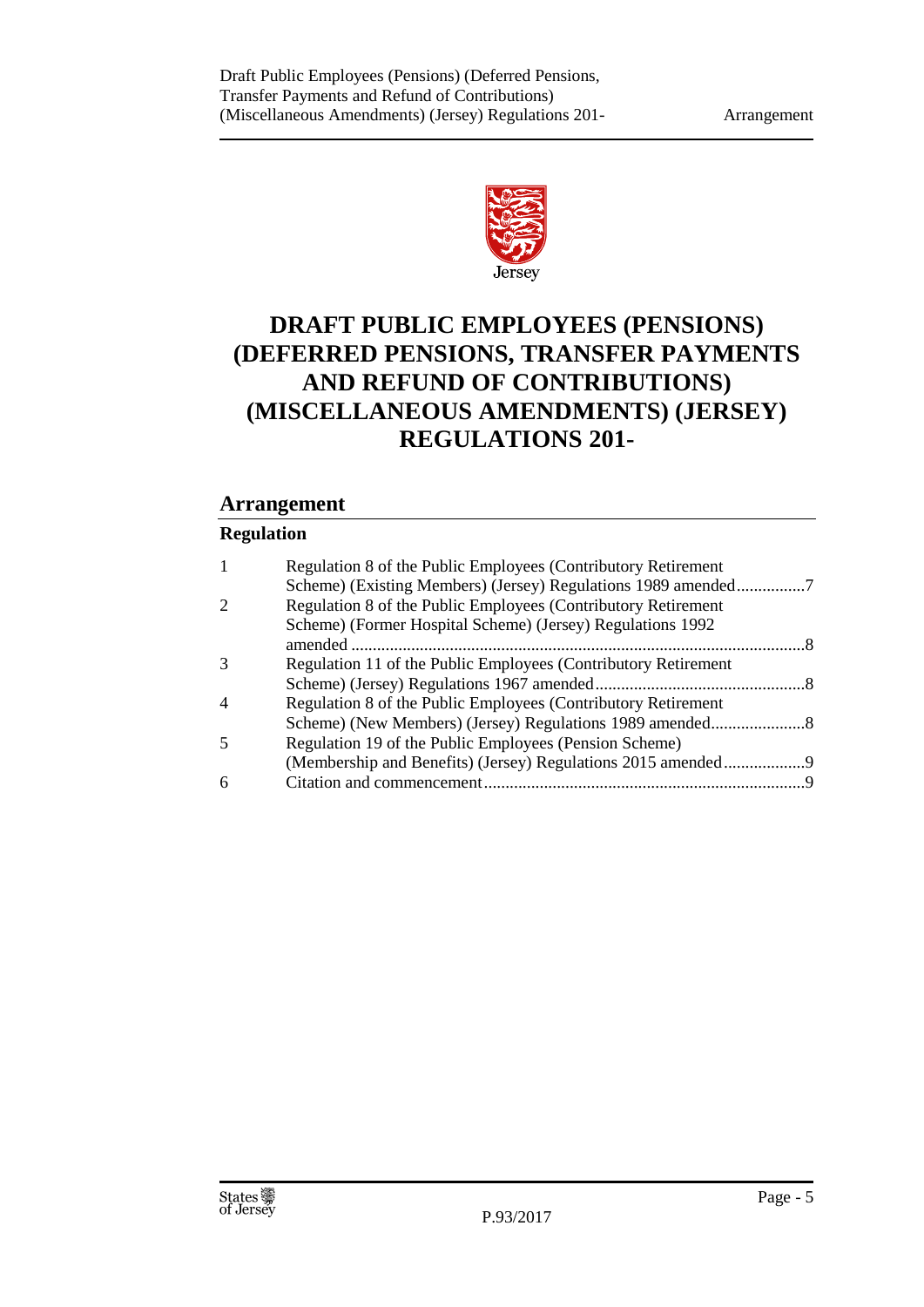

## **DRAFT PUBLIC EMPLOYEES (PENSIONS) (DEFERRED PENSIONS, TRANSFER PAYMENTS AND REFUND OF CONTRIBUTIONS) (MISCELLANEOUS AMENDMENTS) (JERSEY) REGULATIONS 201-**

## **Arrangement**

## **Regulation**

| 1                           | Regulation 8 of the Public Employees (Contributory Retirement  |    |
|-----------------------------|----------------------------------------------------------------|----|
|                             | Scheme) (Existing Members) (Jersey) Regulations 1989 amended7  |    |
| $\mathcal{D}_{\mathcal{L}}$ | Regulation 8 of the Public Employees (Contributory Retirement  |    |
|                             | Scheme) (Former Hospital Scheme) (Jersey) Regulations 1992     |    |
|                             |                                                                | -8 |
| 3                           | Regulation 11 of the Public Employees (Contributory Retirement |    |
|                             |                                                                |    |
| 4                           | Regulation 8 of the Public Employees (Contributory Retirement  |    |
|                             |                                                                |    |
| 5                           | Regulation 19 of the Public Employees (Pension Scheme)         |    |
|                             |                                                                |    |
| 6                           |                                                                |    |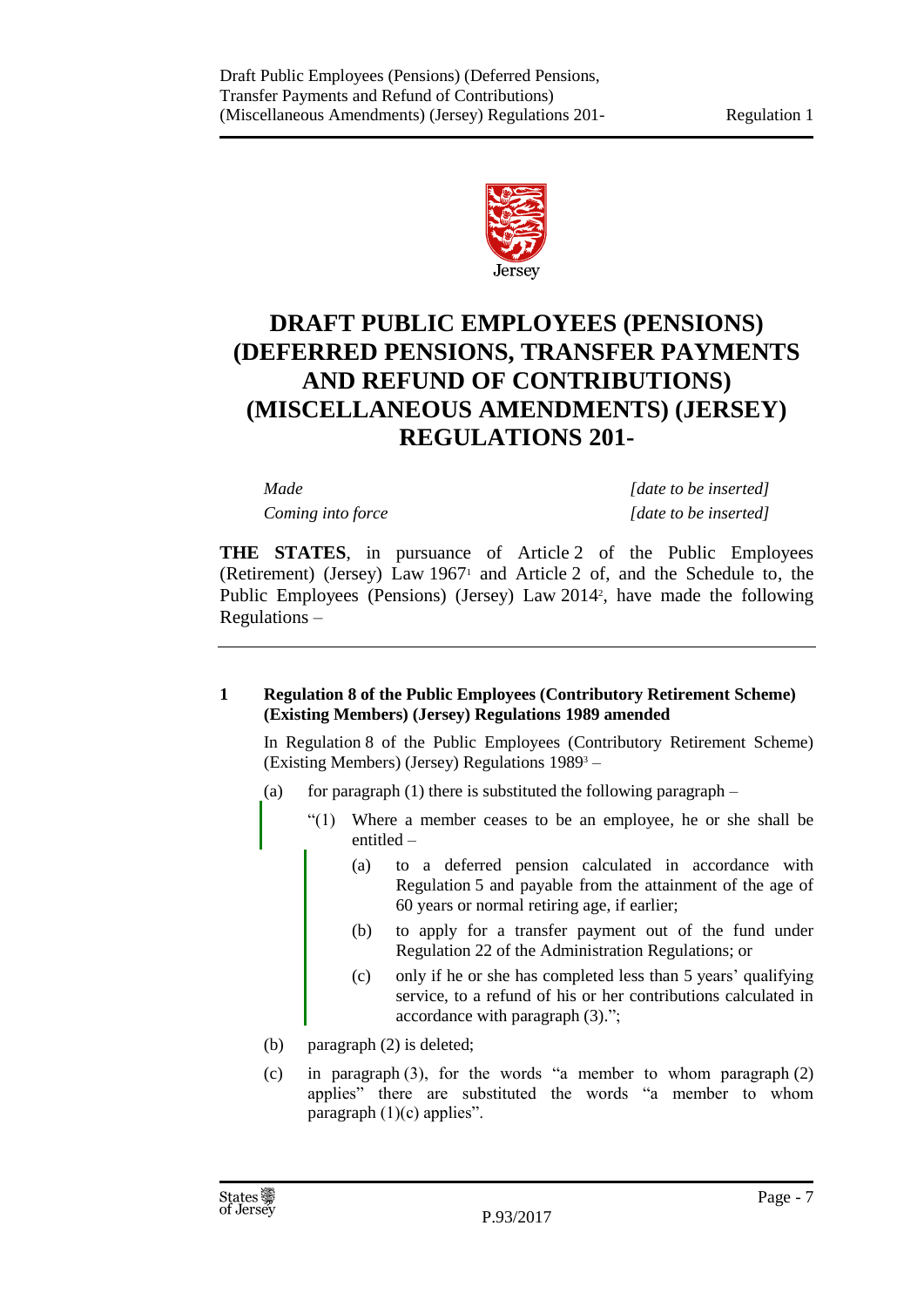

## **DRAFT PUBLIC EMPLOYEES (PENSIONS) (DEFERRED PENSIONS, TRANSFER PAYMENTS AND REFUND OF CONTRIBUTIONS) (MISCELLANEOUS AMENDMENTS) (JERSEY) REGULATIONS 201-**

*Made [date to be inserted] Coming into force [date to be inserted]*

**THE STATES**, in pursuance of Article 2 of the Public Employees (Retirement) (Jersey) Law  $1967<sup>1</sup>$  and Article 2 of, and the Schedule to, the Public Employees (Pensions) (Jersey) Law 2014<sup>2</sup>, have made the following Regulations –

## <span id="page-6-0"></span>**1 Regulation 8 of the Public Employees (Contributory Retirement Scheme) (Existing Members) (Jersey) Regulations 1989 amended**

In Regulation 8 of the Public Employees (Contributory Retirement Scheme) (Existing Members) (Jersey) Regulations 1989<sup>3</sup> –

- (a) for paragraph (1) there is substituted the following paragraph  $-$ 
	- "(1) Where a member ceases to be an employee, he or she shall be entitled –
		- (a) to a deferred pension calculated in accordance with Regulation 5 and payable from the attainment of the age of 60 years or normal retiring age, if earlier;
		- (b) to apply for a transfer payment out of the fund under Regulation 22 of the Administration Regulations; or
		- (c) only if he or she has completed less than 5 years' qualifying service, to a refund of his or her contributions calculated in accordance with paragraph (3).";
- (b) paragraph (2) is deleted;
- (c) in paragraph (3), for the words "a member to whom paragraph (2) applies" there are substituted the words "a member to whom paragraph  $(1)(c)$  applies".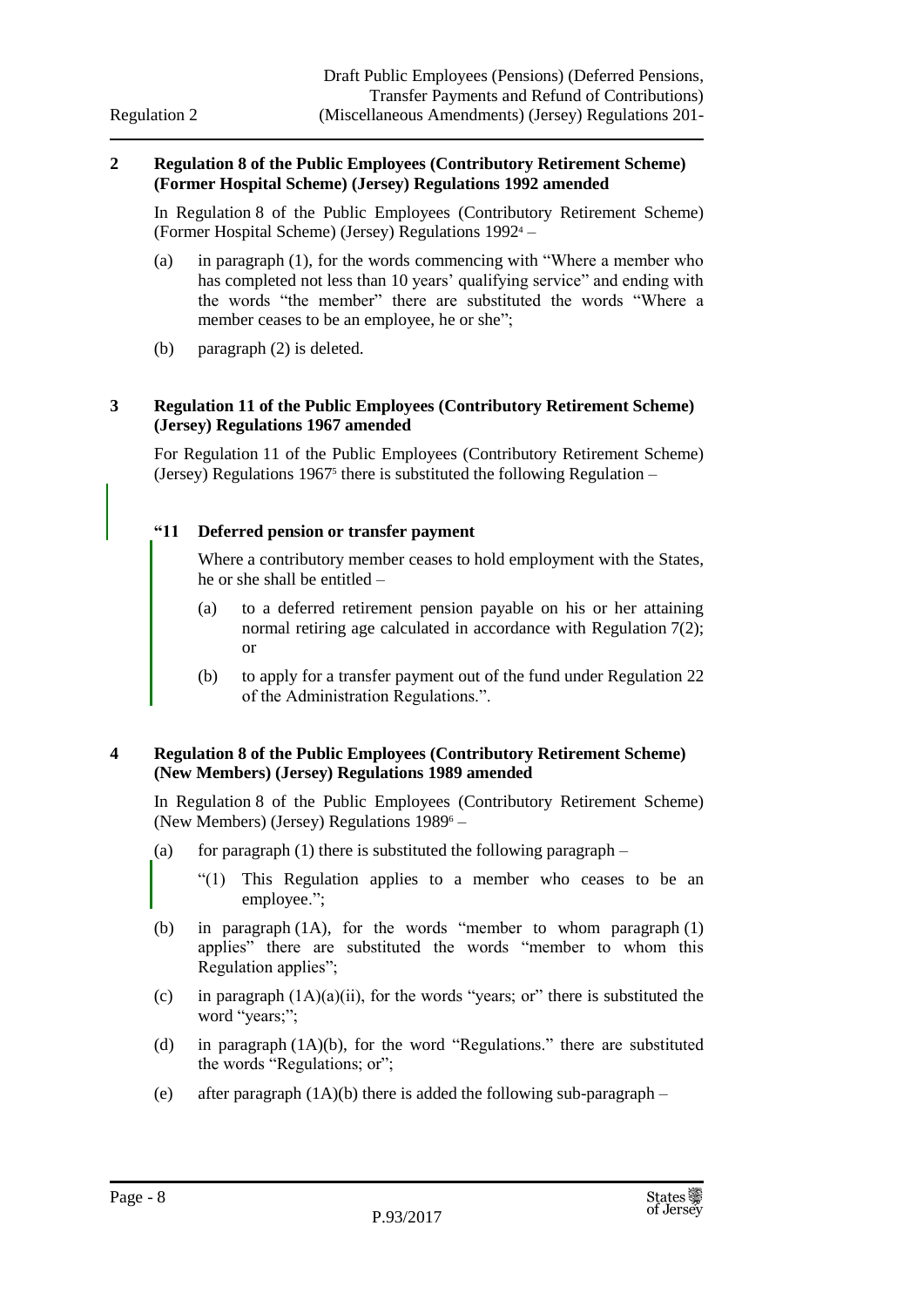#### <span id="page-7-0"></span>**2 Regulation 8 of the Public Employees (Contributory Retirement Scheme) (Former Hospital Scheme) (Jersey) Regulations 1992 amended**

In Regulation 8 of the Public Employees (Contributory Retirement Scheme) (Former Hospital Scheme) (Jersey) Regulations 1992<sup>4</sup> –

- (a) in paragraph (1), for the words commencing with "Where a member who has completed not less than 10 years' qualifying service" and ending with the words "the member" there are substituted the words "Where a member ceases to be an employee, he or she";
- (b) paragraph (2) is deleted.

## <span id="page-7-1"></span>**3 Regulation 11 of the Public Employees (Contributory Retirement Scheme) (Jersey) Regulations 1967 amended**

For Regulation 11 of the Public Employees (Contributory Retirement Scheme) (Jersey) Regulations 1967<sup>5</sup> there is substituted the following Regulation –

## **"11 Deferred pension or transfer payment**

Where a contributory member ceases to hold employment with the States, he or she shall be entitled –

- (a) to a deferred retirement pension payable on his or her attaining normal retiring age calculated in accordance with Regulation 7(2); or
- (b) to apply for a transfer payment out of the fund under Regulation 22 of the Administration Regulations.".

## <span id="page-7-2"></span>**4 Regulation 8 of the Public Employees (Contributory Retirement Scheme) (New Members) (Jersey) Regulations 1989 amended**

In Regulation 8 of the Public Employees (Contributory Retirement Scheme) (New Members) (Jersey) Regulations 1989<sup>6</sup> –

- (a) for paragraph (1) there is substituted the following paragraph  $-$ 
	- "(1) This Regulation applies to a member who ceases to be an employee.";
- (b) in paragraph (1A), for the words "member to whom paragraph (1) applies" there are substituted the words "member to whom this Regulation applies";
- (c) in paragraph  $(1A)(a)(ii)$ , for the words "years; or" there is substituted the word "years;";
- (d) in paragraph (1A)(b), for the word "Regulations." there are substituted the words "Regulations; or";
- (e) after paragraph (1A)(b) there is added the following sub-paragraph –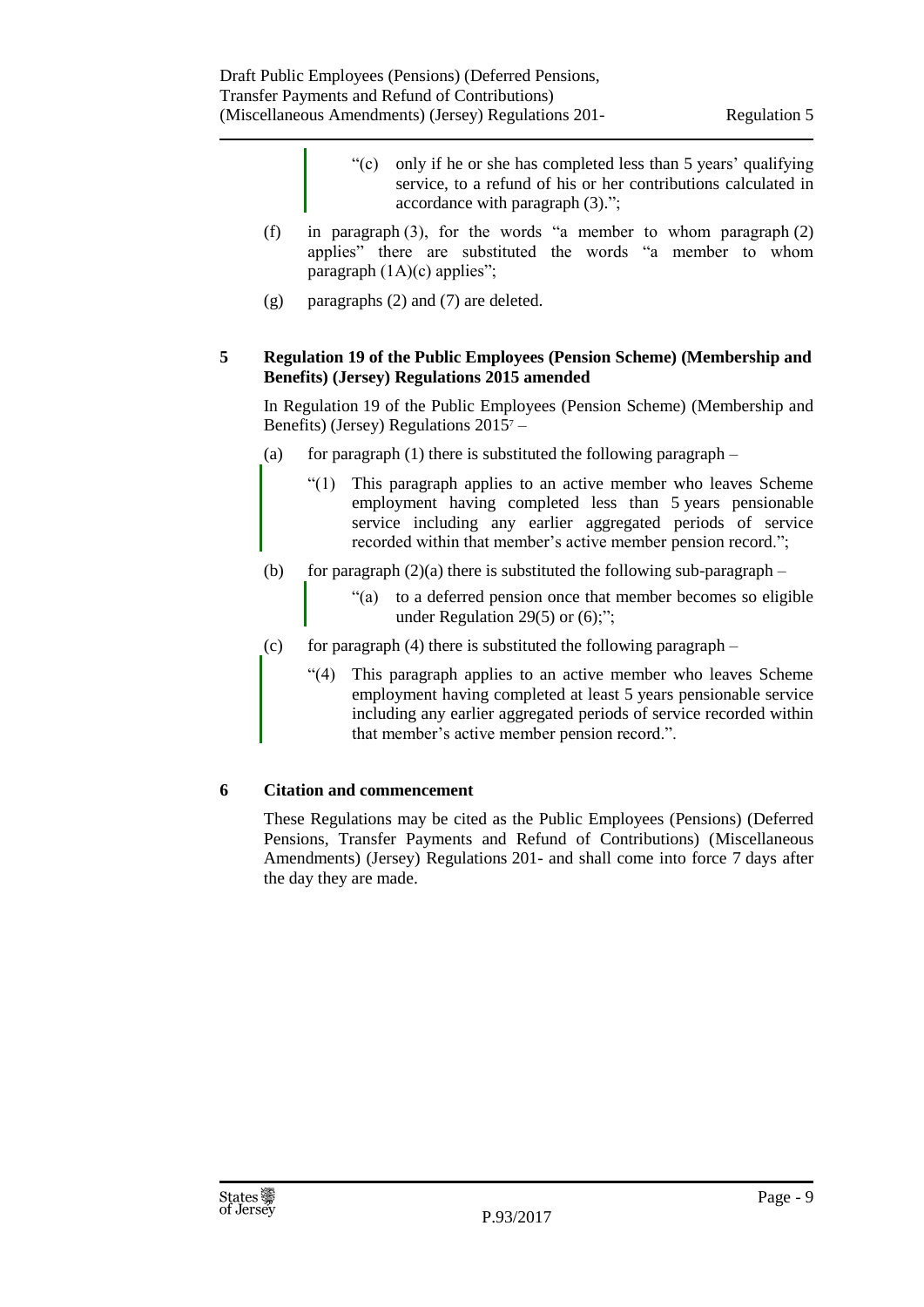- "(c) only if he or she has completed less than 5 years' qualifying service, to a refund of his or her contributions calculated in accordance with paragraph (3).";
- (f) in paragraph (3), for the words "a member to whom paragraph (2) applies" there are substituted the words "a member to whom paragraph (1A)(c) applies";
- (g) paragraphs (2) and (7) are deleted.

## <span id="page-8-0"></span>**5 Regulation 19 of the Public Employees (Pension Scheme) (Membership and Benefits) (Jersey) Regulations 2015 amended**

In Regulation 19 of the Public Employees (Pension Scheme) (Membership and Benefits) (Jersey) Regulations 2015<sup>7</sup> –

- (a) for paragraph (1) there is substituted the following paragraph  $-$ 
	- "(1) This paragraph applies to an active member who leaves Scheme employment having completed less than 5 years pensionable service including any earlier aggregated periods of service recorded within that member's active member pension record.";
- (b) for paragraph  $(2)(a)$  there is substituted the following sub-paragraph
	- "(a) to a deferred pension once that member becomes so eligible under Regulation 29(5) or (6);";
- (c) for paragraph (4) there is substituted the following paragraph  $-$ 
	- "(4) This paragraph applies to an active member who leaves Scheme employment having completed at least 5 years pensionable service including any earlier aggregated periods of service recorded within that member's active member pension record.".

## <span id="page-8-1"></span>**6 Citation and commencement**

These Regulations may be cited as the Public Employees (Pensions) (Deferred Pensions, Transfer Payments and Refund of Contributions) (Miscellaneous Amendments) (Jersey) Regulations 201- and shall come into force 7 days after the day they are made.